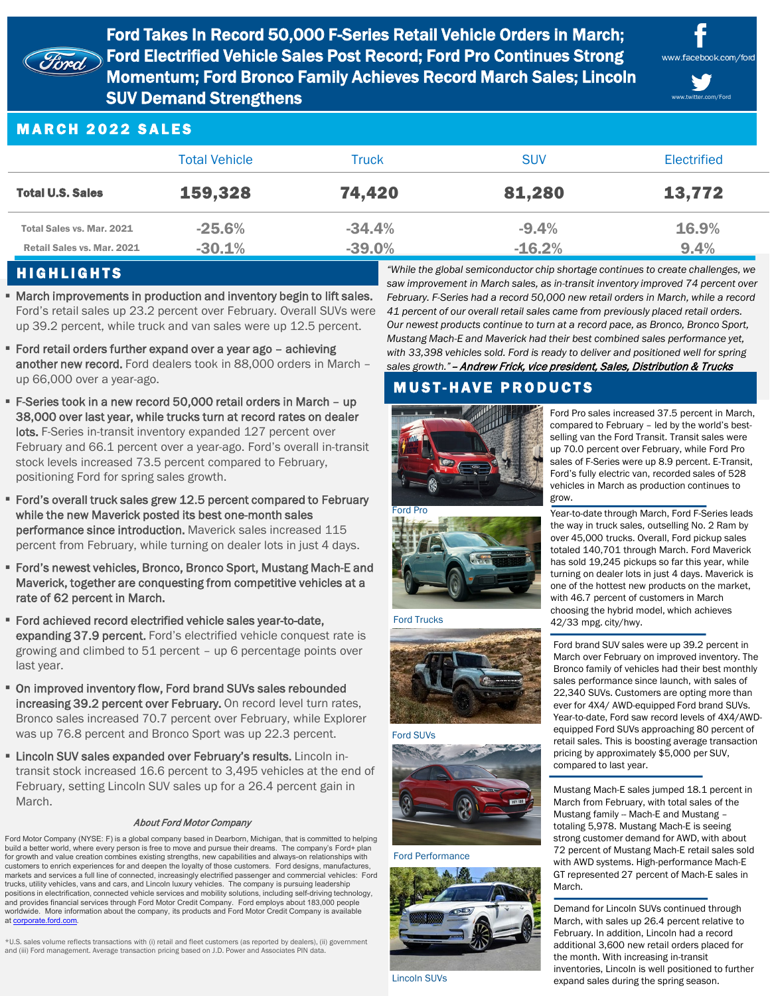

Ford Takes In Record 50,000 F-Series Retail Vehicle Orders in March; Ford Electrified Vehicle Sales Post Record; Ford Pro Continues Strong Momentum; Ford Bronco Family Achieves Record March Sales; Lincoln SUV Demand Strengthens



www.twitter.com/Ford

## MARCH 2022 SALES

|                                                         | <b>Total Vehicle</b> | Truck                | <b>SUV</b>          | Electrified   |
|---------------------------------------------------------|----------------------|----------------------|---------------------|---------------|
| <b>Total U.S. Sales</b>                                 | 159,328              | 74,420               | 81,280              | 13,772        |
| Total Sales vs. Mar. 2021<br>Retail Sales vs. Mar. 2021 | $-25.6%$<br>$-30.1%$ | $-34.4%$<br>$-39.0%$ | $-9.4%$<br>$-16.2%$ | 16.9%<br>9.4% |

## HIGHLIGHTS

- **March improvements in production and inventory begin to lift sales.** Ford's retail sales up 23.2 percent over February. Overall SUVs were up 39.2 percent, while truck and van sales were up 12.5 percent.
- Ford retail orders further expand over a year ago achieving another new record. Ford dealers took in 88,000 orders in March – up 66,000 over a year-ago.
- F-Series took in a new record 50,000 retail orders in March up 38,000 over last year, while trucks turn at record rates on dealer lots. F-Series in-transit inventory expanded 127 percent over February and 66.1 percent over a year-ago. Ford's overall in-transit stock levels increased 73.5 percent compared to February, positioning Ford for spring sales growth.
- Ford's overall truck sales grew 12.5 percent compared to February while the new Maverick posted its best one-month sales performance since introduction. Maverick sales increased 115 percent from February, while turning on dealer lots in just 4 days.
- Ford's newest vehicles, Bronco, Bronco Sport, Mustang Mach-E and Maverick, together are conquesting from competitive vehicles at a rate of 62 percent in March.
- Ford achieved record electrified vehicle sales year-to-date, expanding 37.9 percent. Ford's electrified vehicle conquest rate is growing and climbed to 51 percent – up 6 percentage points over last year.
- On improved inventory flow, Ford brand SUVs sales rebounded increasing 39.2 percent over February. On record level turn rates, Bronco sales increased 70.7 percent over February, while Explorer was up 76.8 percent and Bronco Sport was up 22.3 percent.
- **Example 2 Lincoln SUV sales expanded over February's results.** Lincoln intransit stock increased 16.6 percent to 3,495 vehicles at the end of February, setting Lincoln SUV sales up for a 26.4 percent gain in March.

#### About Ford Motor Company

Ford Motor Company (NYSE: F) is a global company based in Dearborn, Michigan, that is committed to helping build a better world, where every person is free to move and pursue their dreams. The company's Ford+ plan for growth and value creation combines existing strengths, new capabilities and always-on relationships with customers to enrich experiences for and deepen the loyalty of those customers. Ford designs, manufactures, markets and services a full line of connected, increasingly electrified passenger and commercial vehicles: Ford trucks, utility vehicles, vans and cars, and Lincoln luxury vehicles. The company is pursuing leadership positions in electrification, connected vehicle services and mobility solutions, including self-driving technology, and provides financial services through Ford Motor Credit Company. Ford employs about 183,000 people worldwide. More information about the company, its products and Ford Motor Credit Company is available at [corporate.ford.com](https://corporate.ford.com/).

\*U.S. sales volume reflects transactions with (i) retail and fleet customers (as reported by dealers), (ii) government and (iii) Ford management. Average transaction pricing based on J.D. Power and Associates PIN data.

*"While the global semiconductor chip shortage continues to create challenges, we saw improvement in March sales, as in-transit inventory improved 74 percent over February. F-Series had a record 50,000 new retail orders in March, while a record 41 percent of our overall retail sales came from previously placed retail orders. Our newest products continue to turn at a record pace, as Bronco, Bronco Sport, Mustang Mach-E and Maverick had their best combined sales performance yet, with 33,398 vehicles sold. Ford is ready to deliver and positioned well for spring sales growth."*– Andrew Frick, vice president, Sales, Distribution & Trucks

# **MUST-HAVE PRODUCTS**



Ford Pro sales increased 37.5 percent in March, compared to February – led by the world's bestselling van the Ford Transit. Transit sales were up 70.0 percent over February, while Ford Pro sales of F-Series were up 8.9 percent. E-Transit, Ford's fully electric van, recorded sales of 528 vehicles in March as production continues to grow.

Year-to-date through March, Ford F-Series leads the way in truck sales, outselling No. 2 Ram by over 45,000 trucks. Overall, Ford pickup sales totaled 140,701 through March. Ford Maverick has sold 19,245 pickups so far this year, while turning on dealer lots in just 4 days. Maverick is one of the hottest new products on the market, with 46.7 percent of customers in March choosing the hybrid model, which achieves 42/33 mpg. city/hwy.

Ford brand SUV sales were up 39.2 percent in March over February on improved inventory. The Bronco family of vehicles had their best monthly sales performance since launch, with sales of 22,340 SUVs. Customers are opting more than ever for 4X4/ AWD-equipped Ford brand SUVs. Year-to-date, Ford saw record levels of 4X4/AWDequipped Ford SUVs approaching 80 percent of retail sales. This is boosting average transaction pricing by approximately \$5,000 per SUV, compared to last year.

Mustang Mach-E sales jumped 18.1 percent in March from February, with total sales of the Mustang family -- Mach-E and Mustang – totaling 5,978. Mustang Mach-E is seeing strong customer demand for AWD, with about 72 percent of Mustang Mach-E retail sales sold with AWD systems. High-performance Mach-E GT represented 27 percent of Mach-E sales in March.

Demand for Lincoln SUVs continued through March, with sales up 26.4 percent relative to February. In addition, Lincoln had a record additional 3,600 new retail orders placed for the month. With increasing in-transit inventories, Lincoln is well positioned to further expand sales during the spring season.





#### Ford SUVs



Ford Performance